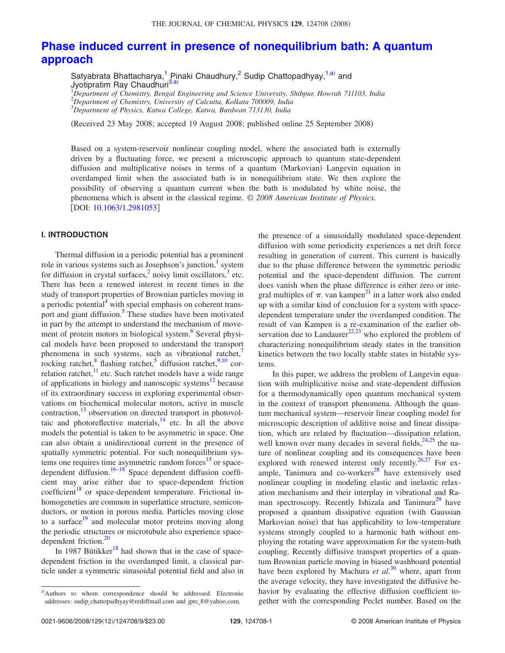# **Phase induced current in presence of nonequilibrium bath: A quantum approach**

Satyabrata Bhattacharya,<sup>1</sup> Pinaki Chaudhury,<sup>2</sup> Sudip Chattopadhyay,<sup>1,a)</sup> and Jyotipratim Ray Chaudhuri<sup>3,a)</sup> <sup>1</sup>*Department of Chemistry, Bengal Engineering and Science University, Shibpur, Howrah 711103, India*

<sup>2</sup>*Department of Chemistry, University of Calcutta, Kolkata 700009, India*

<sup>3</sup>*Department of Physics, Katwa College, Katwa, Burdwan 713130, India*

Received 23 May 2008; accepted 19 August 2008; published online 25 September 2008-

Based on a system-reservoir nonlinear coupling model, where the associated bath is externally driven by a fluctuating force, we present a microscopic approach to quantum state-dependent diffusion and multiplicative noises in terms of a quantum (Markovian) Langevin equation in overdamped limit when the associated bath is in nonequilibrium state. We then explore the possibility of observing a quantum current when the bath is modulated by white noise, the phenomena which is absent in the classical regime. © *2008 American Institute of Physics*. [DOI: 10.1063/1.2981053]

## **I. INTRODUCTION**

Thermal diffusion in a periodic potential has a prominent role in various systems such as Josephson's junction,<sup>1</sup> system for diffusion in crystal surfaces, $^{2}$  noisy limit oscillators, $^{3}$  etc. There has been a renewed interest in recent times in the study of transport properties of Brownian particles moving in a periodic potential $4$  with special emphasis on coherent transport and giant diffusion.<sup>5</sup> These studies have been motivated in part by the attempt to understand the mechanism of movement of protein motors in biological system.<sup>6</sup> Several physical models have been proposed to understand the transport phenomena in such systems, such as vibrational ratchet, $^7$ rocking ratchet, $8$  flashing ratchet, $5$  diffusion ratchet, $9,10$  correlation ratchet, $\frac{11}{11}$  etc. Such ratchet models have a wide range of applications in biology and nanoscopic systems $^{12}$  because of its extraordinary success in exploring experimental observations on biochemical molecular motors, active in muscle  $contraction<sub>13</sub>$  observation on directed transport in photovoltaic and photoreflective materials, $\frac{1}{4}$  etc. In all the above models the potential is taken to be asymmetric in space. One can also obtain a unidirectional current in the presence of spatially symmetric potential. For such nonequilibrium systems one requires time asymmetric random forces<sup>15</sup> or spacedependent diffusion.<sup>16–18</sup> Space dependent diffusion coefficient may arise either due to space-dependent friction  $\mathrm{coefficient}^{18}$  or space-dependent temperature. Frictional inhomogeneties are common in superlattice structure, semiconductors, or motion in porous media. Particles moving close to a surface $19$  and molecular motor proteins moving along the periodic structures or microtubule also experience spacedependent friction.<sup>20</sup>

In 1987 Bütikker $18$  had shown that in the case of spacedependent friction in the overdamped limit, a classical particle under a symmetric sinusoidal potential field and also in the presence of a sinusoidally modulated space-dependent diffusion with some periodicity experiences a net drift force resulting in generation of current. This current is basically due to the phase difference between the symmetric periodic potential and the space-dependent diffusion. The current does vanish when the phase difference is either zero or integral multiples of  $\pi$ , van kampen<sup>21</sup> in a latter work also ended up with a similar kind of conclusion for a system with spacedependent temperature under the overdamped condition. The result of van Kampen is a re-examination of the earlier observation due to Landaurer<sup>22,23</sup> who explored the problem of characterizing nonequilibrium steady states in the transition kinetics between the two locally stable states in bistable systems.

In this paper, we address the problem of Langevin equation with multiplicative noise and state-dependent diffusion for a thermodynamically open quantum mechanical system in the context of transport phenomena. Although the quantum mechanical system—reservoir linear coupling model for microscopic description of additive noise and linear dissipation, which are related by fluctuation—dissipation relation, well known over many decades in several fields,  $24,25$  the nature of nonlinear coupling and its consequences have been explored with renewed interest only recently.<sup>26,27</sup> For example, Tanimura and co-workers<sup>28</sup> have extensively used nonlinear coupling in modeling elastic and inelastic relaxation mechanisms and their interplay in vibrational and Raman spectroscopy. Recently Ishizala and Tanimura<sup>29</sup> have proposed a quantum dissipative equation (with Gaussian Markovian noise) that has applicability to low-temperature systems strongly coupled to a harmonic bath without employing the rotating wave approximation for the system-bath coupling. Recently diffusive transport properties of a quantum Brownian particle moving in biased washboard potential have been explored by Machura *et al.*<sup>30</sup> where, apart from the average velocity, they have investigated the diffusive behavior by evaluating the effective diffusion coefficient together with the corresponding Peclet number. Based on the

a)Authors to whom correspondence should be addressed. Electronic addresses: sudip\_chattopadhyay@rediffmail.com and jprc\_8@yahoo.com.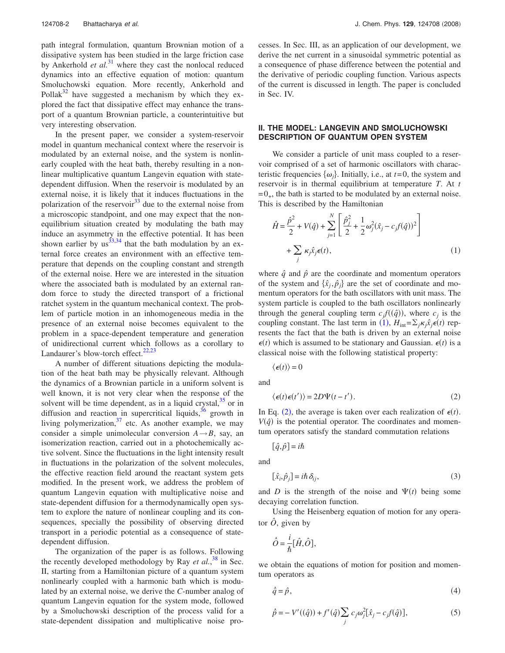path integral formulation, quantum Brownian motion of a dissipative system has been studied in the large friction case by Ankerhold *et al.*<sup>31</sup> where they cast the nonlocal reduced dynamics into an effective equation of motion: quantum Smoluchowski equation. More recently, Ankerhold and Pollak $32$  have suggested a mechanism by which they explored the fact that dissipative effect may enhance the transport of a quantum Brownian particle, a counterintuitive but very interesting observation.

In the present paper, we consider a system-reservoir model in quantum mechanical context where the reservoir is modulated by an external noise, and the system is nonlinearly coupled with the heat bath, thereby resulting in a nonlinear multiplicative quantum Langevin equation with statedependent diffusion. When the reservoir is modulated by an external noise, it is likely that it induces fluctuations in the polarization of the reservoir $33$  due to the external noise from a microscopic standpoint, and one may expect that the nonequilibrium situation created by modulating the bath may induce an asymmetry in the effective potential. It has been shown earlier by  $us^{33,34}$  that the bath modulation by an external force creates an environment with an effective temperature that depends on the coupling constant and strength of the external noise. Here we are interested in the situation where the associated bath is modulated by an external random force to study the directed transport of a frictional ratchet system in the quantum mechanical context. The problem of particle motion in an inhomogeneous media in the presence of an external noise becomes equivalent to the problem in a space-dependent temperature and generation of unidirectional current which follows as a corollary to Landaurer's blow-torch effect. $22,23$ 

A number of different situations depicting the modulation of the heat bath may be physically relevant. Although the dynamics of a Brownian particle in a uniform solvent is well known, it is not very clear when the response of the solvent will be time dependent, as in a liquid crystal, $35$  or in diffusion and reaction in supercritical liquids,  $36$  growth in living polymerization, $37$  etc. As another example, we may consider a simple unimolecular conversion  $A \rightarrow B$ , say, an isomerization reaction, carried out in a photochemically active solvent. Since the fluctuations in the light intensity result in fluctuations in the polarization of the solvent molecules, the effective reaction field around the reactant system gets modified. In the present work, we address the problem of quantum Langevin equation with multiplicative noise and state-dependent diffusion for a thermodynamically open system to explore the nature of nonlinear coupling and its consequences, specially the possibility of observing directed transport in a periodic potential as a consequence of statedependent diffusion.

The organization of the paper is as follows. Following the recently developed methodology by Ray  $et al.<sup>38</sup>$  in Sec. II, starting from a Hamiltonian picture of a quantum system nonlinearly coupled with a harmonic bath which is modulated by an external noise, we derive the *C*-number analog of quantum Langevin equation for the system mode, followed by a Smoluchowski description of the process valid for a state-dependent dissipation and multiplicative noise processes. In Sec. III, as an application of our development, we derive the net current in a sinusoidal symmetric potential as a consequence of phase difference between the potential and the derivative of periodic coupling function. Various aspects of the current is discussed in length. The paper is concluded in Sec. IV.

# **II. THE MODEL: LANGEVIN AND SMOLUCHOWSKI DESCRIPTION OF QUANTUM OPEN SYSTEM**

We consider a particle of unit mass coupled to a reservoir comprised of a set of harmonic oscillators with characteristic frequencies  $\{\omega_j\}$ . Initially, i.e., at *t*=0, the system and reservoir is in thermal equilibrium at temperature *T*. At *t*  $=0<sub>+</sub>$ , the bath is started to be modulated by an external noise. This is described by the Hamiltonian

$$
\hat{H} = \frac{\hat{p}^2}{2} + V(\hat{q}) + \sum_{j=1}^{N} \left[ \frac{\hat{p}_j^2}{2} + \frac{1}{2} \omega_j^2 (\hat{x}_j - c_j f(\hat{q}))^2 \right] + \sum_j \kappa_j \hat{x}_j \epsilon(t),
$$
\n(1)

where  $\hat{q}$  and  $\hat{p}$  are the coordinate and momentum operators of the system and  $\{\hat{x}_j, \hat{p}_j\}$  are the set of coordinate and momentum operators for the bath oscillators with unit mass. The system particle is coupled to the bath oscillators nonlinearly through the general coupling term  $c_j f(\hat{q})$ , where  $c_j$  is the coupling constant. The last term in (1),  $H_{int} = \sum_j \kappa_j \hat{x}_j \epsilon(t)$  represents the fact that the bath is driven by an external noise  $\epsilon(t)$  which is assumed to be stationary and Gaussian.  $\epsilon(t)$  is a classical noise with the following statistical property:

$$
\langle \epsilon(t) \rangle = 0
$$

and

$$
\langle \epsilon(t)\epsilon(t')\rangle = 2D\Psi(t-t'). \tag{2}
$$

In Eq. (2), the average is taken over each realization of  $\epsilon(t)$ .  $V(\hat{q})$  is the potential operator. The coordinates and momentum operators satisfy the standard commutation relations

$$
[\hat{q}, \hat{p}] = i\hbar
$$

and

$$
[\hat{x}_i, \hat{p}_j] = i\hbar \,\delta_{ij},\tag{3}
$$

and *D* is the strength of the noise and  $\Psi(t)$  being some decaying correlation function.

Using the Heisenberg equation of motion for any operator  $\hat{O}$ , given by

$$
\dot{\hat{O}} = \frac{i}{\hbar} [\hat{H}, \hat{O}],
$$

we obtain the equations of motion for position and momentum operators as

$$
\dot{\hat{q}} = \hat{p},\tag{4}
$$

$$
\dot{\hat{p}} = -V'((\hat{q})) + f'(\hat{q}) \sum_{j} c_j \omega_j^2 [\hat{x}_j - c_j f(\hat{q})],
$$
\n(5)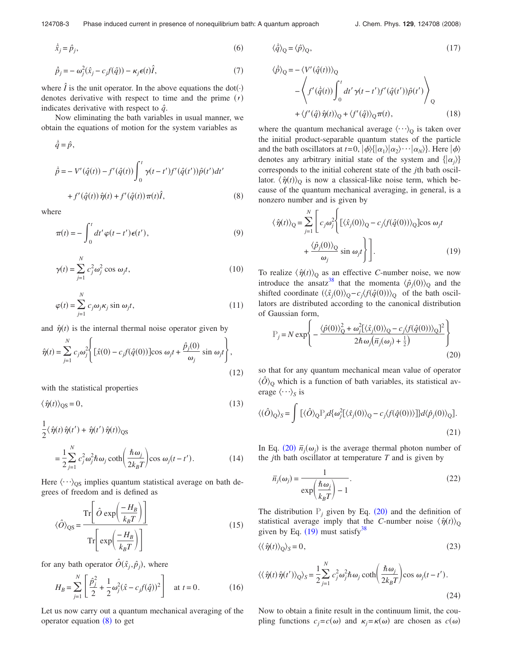$$
\dot{\hat{x}}_j = \hat{p}_j,\tag{6}
$$

$$
\dot{\hat{p}}_j = -\omega_j^2(\hat{x}_j - c_j f(\hat{q})) - \kappa_j \epsilon(t)\hat{I},\tag{7}
$$

where  $\hat{I}$  is the unit operator. In the above equations the dot( $\cdot$ ) denotes derivative with respect to time and the prime  $(1)$ indicates derivative with respect to  $\hat{q}$ .

Now eliminating the bath variables in usual manner, we obtain the equations of motion for the system variables as

$$
\hat{q} = \hat{p},
$$
\n
$$
\hat{p} = -V'(\hat{q}(t)) - f'(\hat{q}(t)) \int_0^t \gamma(t - t') f'(\hat{q}(t')) \hat{p}(t') dt'
$$
\n
$$
+ f'(\hat{q}(t)) \hat{\eta}(t) + f'(\hat{q}(t)) \pi(t) \hat{I},
$$
\n(8)

where

$$
\pi(t) = -\int_0^t dt' \varphi(t - t') \epsilon(t'), \qquad (9)
$$

$$
\gamma(t) = \sum_{j=1}^{N} c_j^2 \omega_j^2 \cos \omega_j t,
$$
\n(10)

$$
\varphi(t) = \sum_{j=1}^{N} c_j \omega_j \kappa_j \sin \omega_j t,
$$
\n(11)

and  $\hat{\eta}(t)$  is the internal thermal noise operator given by

$$
\hat{\eta}(t) = \sum_{j=1}^{N} c_j \omega_j^2 \left\{ [\hat{x}(0) - c_j f(\hat{q}(0))] \cos \omega_j t + \frac{\hat{p}_j(0)}{\omega_j} \sin \omega_j t \right\},\tag{12}
$$

with the statistical properties

$$
\langle \hat{\eta}(t) \rangle_{\text{QS}} = 0,\tag{13}
$$

$$
\frac{1}{2}\langle \hat{\eta}(t)\hat{\eta}(t') + \hat{\eta}(t')\hat{\eta}(t)\rangle_{\text{QS}} \n= \frac{1}{2}\sum_{j=1}^{N} c_j^2 \omega_j^2 \hbar \omega_j \coth\left(\frac{\hbar \omega_j}{2k_B T}\right) \cos \omega_j (t - t').
$$
\n(14)

Here  $\langle \cdots \rangle_{\rm QS}$  implies quantum statistical average on bath degrees of freedom and is defined as

$$
\langle \hat{O} \rangle_{\text{QS}} = \frac{\text{Tr}\left[\hat{O} \exp\left(\frac{-H_B}{k_B T}\right)\right]}{\text{Tr}\left[\exp\left(\frac{-H_B}{k_B T}\right)\right]}
$$
(15)

for any bath operator  $\hat{O}(\hat{x}_j, \hat{p}_j)$ , where

$$
H_B = \sum_{j=1}^{N} \left[ \frac{\hat{p}_j^2}{2} + \frac{1}{2} \omega_j^2 (\hat{x} - c_j f(\hat{q}))^2 \right] \text{ at } t = 0.
$$
 (16)

Let us now carry out a quantum mechanical averaging of the operator equation  $(8)$  to get

$$
\langle \dot{\hat{q}} \rangle_{\mathbf{Q}} = \langle \hat{p} \rangle_{\mathbf{Q}},\tag{17}
$$

$$
\langle \hat{\rho} \rangle_{Q} = - \langle V'(\hat{q}(t)) \rangle_{Q}
$$
  
 
$$
- \left\langle f'(\hat{q}(t)) \int_{0}^{t} dt' \gamma(t - t') f'(\hat{q}(t')) \hat{p}(t') \right\rangle_{Q}
$$
  
 
$$
+ \langle f'(\hat{q}) \hat{\eta}(t) \rangle_{Q} + \langle f'(\hat{q}) \rangle_{Q} \pi(t), \qquad (18)
$$

where the quantum mechanical average  $\langle \cdots \rangle_Q$  is taken over the initial product-separable quantum states of the particle and the bath oscillators at  $t=0$ ,  $|\phi\rangle\{|\alpha_1\rangle|\alpha_2\rangle\cdots|\alpha_N\rangle\}$ . Here  $|\phi\rangle$ denotes any arbitrary initial state of the system and  $\{|\alpha_j\rangle\}$ corresponds to the initial coherent state of the *j*th bath oscillator.  $\langle \hat{\eta}(t) \rangle_{\mathbb{Q}}$  is now a classical-like noise term, which because of the quantum mechanical averaging, in general, is a nonzero number and is given by

$$
\langle \hat{\eta}(t) \rangle_{Q} = \sum_{j=1}^{N} \left[ c_j \omega_j^2 \left\{ \left[ \langle \hat{x}_j(0) \rangle_Q - c_j \langle f(\hat{q}(0)) \rangle_Q \right] \cos \omega_j t + \frac{\langle \hat{p}_j(0) \rangle_Q}{\omega_j} \sin \omega_j t \right\} \right].
$$
 (19)

To realize  $\langle \hat{\eta}(t) \rangle$ <sup>Q</sup> as an effective *C*-number noise, we now introduce the ansatz<sup>38</sup> that the momenta  $\langle \hat{p}_j(0) \rangle_Q$  and the shifted coordinate  $(\langle \hat{x}_j(0) \rangle_Q - c_j \langle f(\hat{q}(0)) \rangle_Q$  of the bath oscillators are distributed according to the canonical distribution of Gaussian form,

$$
P_j = N \exp\left\{-\frac{\langle \hat{p}(0)\rangle_Q^2 + \omega_j^2[\langle \hat{x}_j(0)\rangle_Q - c_j \langle f(\hat{q}(0))\rangle_Q]^2}{2\hbar \omega_j(\overline{n}_j(\omega_j) + \frac{1}{2})}\right\}
$$
(20)

so that for any quantum mechanical mean value of operator  $\langle \hat{O} \rangle_{\text{Q}}$  which is a function of bath variables, its statistical average  $\langle \cdots \rangle_S$  is

$$
\langle(\hat{O})_{Q}\rangle_{S} = \int \left[ \langle \hat{O} \rangle_{Q} P_{j} d\{\omega_{j}^{2} [\langle \hat{x}_{j}(0) \rangle_{Q} - c_{j} \langle f(\hat{q}(0)) \rangle] \} d\langle \hat{p}_{j}(0) \rangle_{Q} \right].
$$
\n(21)

In Eq. (20)  $\bar{n}_j(\omega_j)$  is the average thermal photon number of the *j*th bath oscillator at temperature *T* and is given by

$$
\bar{n}_j(\omega_j) = \frac{1}{\exp\left(\frac{\hbar \omega_j}{k_B T}\right) - 1}.
$$
\n(22)

The distribution  $P_j$  given by Eq. (20) and the definition of statistical average imply that the *C*-number noise  $\langle \hat{\eta}(t) \rangle_{\mathbb{Q}}$ given by Eq.  $(19)$  must satisfy<sup>38</sup>

$$
\langle \langle \hat{\eta}(t) \rangle_{Q} \rangle_{S} = 0, \tag{23}
$$

$$
\langle \langle \hat{\eta}(t) \hat{\eta}(t') \rangle_{Q} \rangle_{S} = \frac{1}{2} \sum_{j=1}^{N} c_{j}^{2} \omega_{j}^{2} \hbar \omega_{j} \coth\left(\frac{\hbar \omega_{j}}{2k_{B}T}\right) \cos \omega_{j} (t - t').
$$
\n(24)

Now to obtain a finite result in the continuum limit, the coupling functions  $c_j = c(\omega)$  and  $\kappa_j = \kappa(\omega)$  are chosen as  $c(\omega)$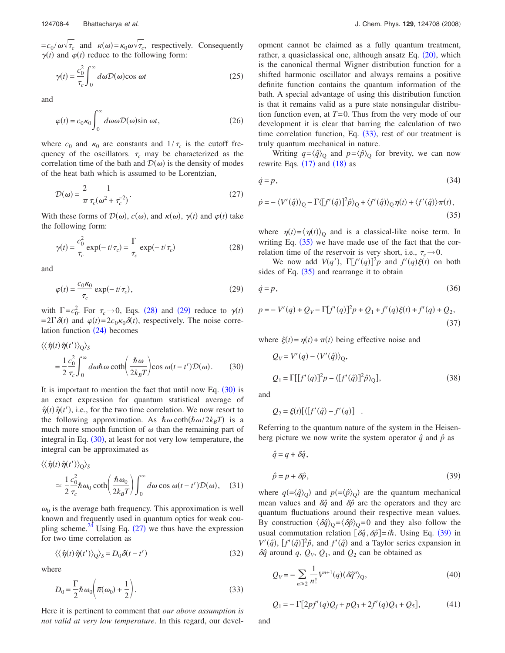$= c_0/\omega \sqrt{\tau_c}$  and  $\kappa(\omega) = \kappa_0 \omega \sqrt{\tau_c}$ , respectively. Consequently  $\gamma(t)$  and  $\varphi(t)$  reduce to the following form:

$$
\gamma(t) = \frac{c_0^2}{\tau_c} \int_0^\infty d\omega \mathcal{D}(\omega) \cos \omega t \tag{25}
$$

and

$$
\varphi(t) = c_0 \kappa_0 \int_0^\infty d\omega \omega \mathcal{D}(\omega) \sin \omega t, \qquad (26)
$$

where  $c_0$  and  $\kappa_0$  are constants and  $1/\tau_c$  is the cutoff frequency of the oscillators.  $\tau_c$  may be characterized as the correlation time of the bath and  $\mathcal{D}(\omega)$  is the density of modes of the heat bath which is assumed to be Lorentzian,

$$
\mathcal{D}(\omega) = \frac{2}{\pi} \frac{1}{\tau_c(\omega^2 + \tau_c^{-2})}.
$$
\n(27)

With these forms of  $\mathcal{D}(\omega)$ ,  $c(\omega)$ , and  $\kappa(\omega)$ ,  $\gamma(t)$  and  $\varphi(t)$  take the following form:

$$
\gamma(t) = \frac{c_0^2}{\tau_c} \exp(-t/\tau_c) = \frac{\Gamma}{\tau_c} \exp(-t/\tau_c)
$$
\n(28)

and

$$
\varphi(t) = \frac{c_0 \kappa_0}{\tau_c} \exp(-t/\tau_c),\tag{29}
$$

with  $\Gamma = c_0^2$ . For  $\tau_c \rightarrow 0$ , Eqs. (28) and (29) reduce to  $\gamma(t)$  $=2\Gamma \delta(t)$  and  $\varphi(t) = 2c_0 \kappa_0 \delta(t)$ , respectively. The noise correlation function (24) becomes

$$
\langle \langle \hat{\eta}(t) \hat{\eta}(t') \rangle_Q \rangle_S
$$
  
=  $\frac{1}{2} \frac{c_0^2}{\tau_c} \int_0^\infty d\omega \hbar \omega \coth \left( \frac{\hbar \omega}{2k_B T} \right) \cos \omega (t - t') \mathcal{D}(\omega).$  (30)

It is important to mention the fact that until now Eq.  $(30)$  is an exact expression for quantum statistical average of  $\hat{\eta}(t)$   $\hat{\eta}(t')$ , i.e., for the two time correlation. We now resort to the following approximation. As  $\hbar \omega \coth(\hbar \omega/2k_BT)$  is a much more smooth function of  $\omega$  than the remaining part of integral in Eq.  $(30)$ , at least for not very low temperature, the integral can be approximated as

$$
\langle \langle \hat{\eta}(t) \hat{\eta}(t') \rangle_Q \rangle_S
$$
  
\n
$$
\approx \frac{1}{2} \frac{c_0^2}{\tau_c} \hbar \omega_0 \coth\left(\frac{\hbar \omega_0}{2k_B T}\right) \int_0^\infty d\omega \cos \omega(t - t') \mathcal{D}(\omega), \quad (31)
$$

 $\omega_0$  is the average bath frequency. This approximation is well known and frequently used in quantum optics for weak coupling scheme.<sup>24</sup> Using Eq.  $(27)$  we thus have the expression for two time correlation as

$$
\langle \langle \hat{\eta}(t) \hat{\eta}(t') \rangle_{Q} \rangle_{S} = D_0 \delta(t - t')
$$
 (32)

where

$$
D_0 = \frac{\Gamma}{2} \hbar \omega_0 \left( \overline{n}(\omega_0) + \frac{1}{2} \right).
$$
 (33)

Here it is pertinent to comment that *our above assumption is not valid at very low temperature*. In this regard, our development cannot be claimed as a fully quantum treatment, rather, a quasiclassical one, although ansatz Eq. (20), which is the canonical thermal Wigner distribution function for a shifted harmonic oscillator and always remains a positive definite function contains the quantum information of the bath. A special advantage of using this distribution function is that it remains valid as a pure state nonsingular distribution function even, at *T*=0. Thus from the very mode of our development it is clear that barring the calculation of two time correlation function, Eq.  $(33)$ , rest of our treatment is truly quantum mechanical in nature.

Writing  $q = \langle \hat{q} \rangle_{\mathbb{Q}}$  and  $p = \langle \hat{p} \rangle_{\mathbb{Q}}$  for brevity, we can now rewrite Eqs.  $(17)$  and  $(18)$  as

$$
\dot{q} = p,\tag{34}
$$

$$
\dot{p} = -\langle V'(\hat{q}) \rangle_{Q} - \Gamma \langle [f'(\hat{q})]^{2} \hat{p} \rangle_{Q} + \langle f'(\hat{q}) \rangle_{Q} \eta(t) + \langle f'(\hat{q}) \rangle \pi(t),
$$
\n(35)

where  $\eta(t) = \langle \eta(t) \rangle_{\text{Q}}$  and is a classical-like noise term. In writing Eq.  $(35)$  we have made use of the fact that the correlation time of the reservoir is very short, i.e.,  $\tau_c \rightarrow 0$ .

We now add  $V(q')$ ,  $\Gamma[f'(q)]^2 p$  and  $f'(q)\xi(t)$  on both sides of Eq.  $(35)$  and rearrange it to obtain

$$
\dot{q} = p,\tag{36}
$$

$$
p = -V'(q) + Q_V - \Gamma[f'(q)]^2 p + Q_1 + f'(q)\xi(t) + f'(q) + Q_2,
$$
\n(37)

where  $\xi(t) = \eta(t) + \pi(t)$  being effective noise and

$$
Q_V = V'(q) - \langle V'(\hat{q}) \rangle_Q,
$$
  
\n
$$
Q_1 = \Gamma[[f'(q)]^2 p - \langle [f'(\hat{q})]^2 \hat{p} \rangle_Q],
$$
\n(38)

and

$$
Q_2 = \xi(t) \big[ \langle [f'(\hat{q}) - f'(q)] \ .
$$

Referring to the quantum nature of the system in the Heisenberg picture we now write the system operator  $\hat{q}$  and  $\hat{p}$  as

$$
\hat{q} = q + \delta \hat{q},
$$
  

$$
\hat{p} = p + \delta \hat{p},
$$
 (39)

where  $q = \langle \hat{q} \rangle_Q$  and  $p = \langle \hat{p} \rangle_Q$  are the quantum mechanical mean values and  $\delta \hat{q}$  and  $\delta \hat{p}$  are the operators and they are quantum fluctuations around their respective mean values. By construction  $\langle \delta \hat{q} \rangle_{Q} = \langle \delta \hat{p} \rangle_{Q} = 0$  and they also follow the usual commutation relation  $\left[\delta \hat{q}, \delta \hat{p}\right] = i\hbar$ . Using Eq. (39) in  $V'(\hat{q})$ ,  $[f'(\hat{q})]^2 \hat{p}$ , and  $f'(\hat{q})$  and a Taylor series expansion in  $\delta \hat{q}$  around *q*,  $Q_V$ ,  $Q_1$ , and  $Q_2$  can be obtained as

$$
Q_V = -\sum_{n \ge 2} \frac{1}{n!} V^{n+1}(q) \langle \delta \hat{q}^n \rangle_Q,
$$
\n(40)

$$
Q_1 = -\Gamma[2pf'(q)Q_f + pQ_3 + 2f'(q)Q_4 + Q_5],\tag{41}
$$

and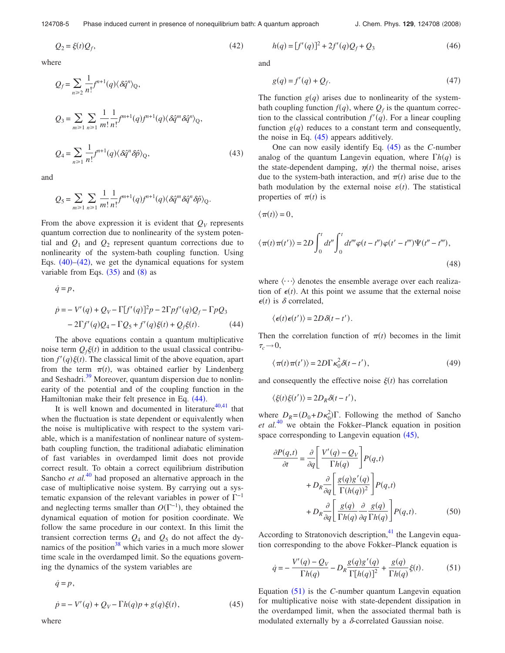$$
Q_2 = \xi(t)Q_f,\tag{42}
$$

where

$$
Q_f = \sum_{n\geq 2} \frac{1}{n!} f^{n+1}(q) \langle \delta \hat{q}^n \rangle_Q,
$$
  
\n
$$
Q_3 = \sum_{m\geq 1} \sum_{n\geq 1} \frac{1}{m!} \frac{1}{n!} f^{m+1}(q) f^{n+1}(q) \langle \delta \hat{q}^m \delta \hat{q}^n \rangle_Q,
$$
  
\n
$$
Q_4 = \sum_{n\geq 1} \frac{1}{n!} f^{n+1}(q) \langle \delta \hat{q}^n \delta \hat{p} \rangle_Q,
$$
\n(43)

and

$$
Q_5 = \sum_{m \geq 1} \sum_{n \geq 1} \frac{1}{m!} \frac{1}{n!} f^{m+1}(q) f^{n+1}(q) \langle \delta \hat{q}^m \delta \hat{q}^n \delta \hat{p} \rangle_Q.
$$

From the above expression it is evident that  $Q_V$  represents quantum correction due to nonlinearity of the system potential and  $Q_1$  and  $Q_2$  represent quantum corrections due to nonlinearity of the system-bath coupling function. Using Eqs.  $(40)$ – $(42)$ , we get the dynamical equations for system variable from Eqs.  $(35)$  and  $(8)$  as

$$
\dot{q} = p,
$$
\n
$$
\dot{p} = -V'(q) + Q_V - \Gamma[f'(q)]^2 p - 2\Gamma p f'(q) Q_f - \Gamma p Q_3
$$
\n
$$
- 2\Gamma f'(q) Q_4 - \Gamma Q_5 + f'(q) \xi(t) + Q_f \xi(t).
$$
\n(44)

The above equations contain a quantum multiplicative noise term  $Q_f \xi(t)$  in addition to the usual classical contribution  $f'(q)\xi(t)$ . The classical limit of the above equation, apart from the term  $\pi(t)$ , was obtained earlier by Lindenberg and Seshadri.<sup>39</sup> Moreover, quantum dispersion due to nonlinearity of the potential and of the coupling function in the Hamiltonian make their felt presence in Eq. (44).

It is well known and documented in literature $40,41$  that when the fluctuation is state dependent or equivalently when the noise is multiplicative with respect to the system variable, which is a manifestation of nonlinear nature of systembath coupling function, the traditional adiabatic elimination of fast variables in overdamped limit does not provide correct result. To obtain a correct equilibrium distribution Sancho *et al.*<sup>40</sup> had proposed an alternative approach in the case of multiplicative noise system. By carrying out a systematic expansion of the relevant variables in power of  $\Gamma^{-1}$ and neglecting terms smaller than  $O(\Gamma^{-1})$ , they obtained the dynamical equation of motion for position coordinate. We follow the same procedure in our context. In this limit the transient correction terms  $Q_4$  and  $Q_5$  do not affect the dynamics of the position<sup>38</sup> which varies in a much more slower time scale in the overdamped limit. So the equations governing the dynamics of the system variables are

$$
\dot{q} = p,
$$
  
\n
$$
\dot{p} = -V'(q) + Q_V - \Gamma h(q)p + g(q)\xi(t),
$$
\n(45)

$$
h(q) = [f'(q)]^2 + 2f'(q)Q_f + Q_3
$$
\n(46)

and

$$
g(q) = f'(q) + Q_f. \tag{47}
$$

The function  $g(q)$  arises due to nonlinearity of the systembath coupling function  $f(q)$ , where  $Q_f$  is the quantum correction to the classical contribution  $f'(q)$ . For a linear coupling function  $g(q)$  reduces to a constant term and consequently, the noise in Eq.  $(45)$  appears additively.

One can now easily identify Eq. (45) as the *C*-number analog of the quantum Langevin equation, where  $\Gamma h(q)$  is the state-dependent damping,  $\eta(t)$  the thermal noise, arises due to the system-bath interaction, and  $\pi(t)$  arise due to the bath modulation by the external noise  $\varepsilon(t)$ . The statistical properties of  $\pi(t)$  is

$$
\langle \pi(t) \rangle = 0,
$$

$$
\langle \pi(t)\pi(t')\rangle = 2D\int_0^t dt'' \int_0^t dt'''\varphi(t-t'')\varphi(t'-t''')\Psi(t''-t'''),
$$
\n(48)

where  $\langle \cdots \rangle$  denotes the ensemble average over each realization of  $\epsilon(t)$ . At this point we assume that the external noise  $\epsilon(t)$  is  $\delta$  correlated,

$$
\langle \epsilon(t)\epsilon(t')\rangle = 2D\,\delta(t-t').
$$

Then the correlation function of  $\pi(t)$  becomes in the limit  $\tau_c \rightarrow 0$ ,

$$
\langle \pi(t)\pi(t')\rangle = 2D\Gamma\kappa_0^2 \delta(t - t'),\tag{49}
$$

and consequently the effective noise  $\xi(t)$  has correlation

$$
\langle \xi(t)\xi(t')\rangle = 2D_R\delta(t-t'),
$$

where  $D_R = (D_0 + D\kappa_0^2)\Gamma$ . Following the method of Sancho *et al.*<sup>40</sup> we obtain the Fokker–Planck equation in position space corresponding to Langevin equation  $(45)$ ,

$$
\frac{\partial P(q,t)}{\partial t} = \frac{\partial}{\partial q} \left[ \frac{V'(q) - Q_V}{\Gamma h(q)} \right] P(q,t)
$$

$$
+ D_R \frac{\partial}{\partial q} \left[ \frac{g(q)g'(q)}{\Gamma(h(q))^2} \right] P(q,t)
$$

$$
+ D_R \frac{\partial}{\partial q} \left[ \frac{g(q)}{\Gamma h(q)} \frac{\partial}{\partial q} \frac{g(q)}{\Gamma h(q)} \right] P(q,t).
$$
(50)

According to Stratonovich description, $41$  the Langevin equation corresponding to the above Fokker–Planck equation is

$$
\dot{q} = -\frac{V'(q) - Q_V}{\Gamma h(q)} - D_R \frac{g(q)g'(q)}{\Gamma[h(q)]^2} + \frac{g(q)}{\Gamma h(q)} \xi(t). \tag{51}
$$

Equation (51) is the *C*-number quantum Langevin equation for multiplicative noise with state-dependent dissipation in the overdamped limit, when the associated thermal bath is modulated externally by a  $\delta$ -correlated Gaussian noise.

where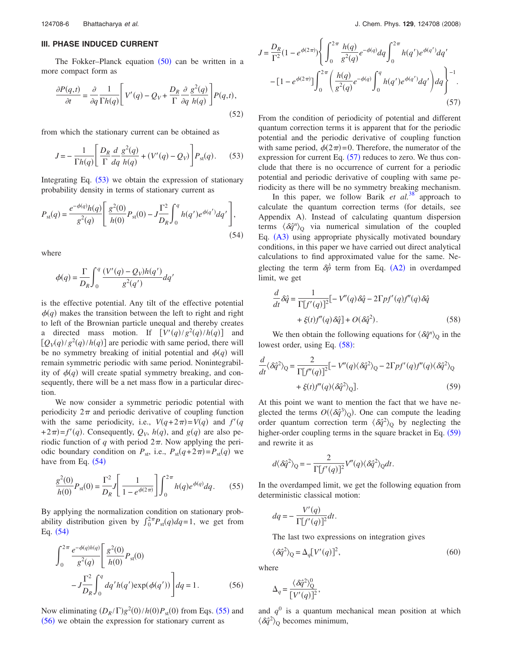### **III. PHASE INDUCED CURRENT**

The Fokker–Planck equation  $(50)$  can be written in a more compact form as

$$
\frac{\partial P(q,t)}{\partial t} = \frac{\partial}{\partial q} \frac{1}{\Gamma h(q)} \left[ V'(q) - Q_V + \frac{D_R}{\Gamma} \frac{\partial}{\partial q} \frac{g^2(q)}{h(q)} \right] P(q,t),\tag{52}
$$

from which the stationary current can be obtained as

$$
J = -\frac{1}{\Gamma h(q)} \left[ \frac{D_R}{\Gamma} \frac{d}{dq} \frac{g^2(q)}{h(q)} + (V'(q) - Q_V) \right] P_{\rm st}(q). \tag{53}
$$

Integrating Eq.  $(53)$  we obtain the expression of stationary probability density in terms of stationary current as

$$
P_{\rm st}(q) = \frac{e^{-\phi(q)}h(q)}{g^2(q)} \left[ \frac{g^2(0)}{h(0)} P_{\rm st}(0) - J \frac{\Gamma^2}{D_R} \int_0^q h(q') e^{\phi(q')} dq' \right],\tag{54}
$$

where

$$
\phi(q) = \frac{\Gamma}{D_R} \int_0^q \frac{(V'(q) - Q_V)h(q')}{g^2(q')} dq'
$$

is the effective potential. Any tilt of the effective potential  $\phi(q)$  makes the transition between the left to right and right to left of the Brownian particle unequal and thereby creates a directed mass motion. If  $[\bar{V}'(q)/g^2(q)/h(q)]$  and  $[Q_V(q)/g^2(q)/h(q)]$  are periodic with same period, there will be no symmetry breaking of initial potential and  $\phi(q)$  will remain symmetric periodic with same period. Nonintegrability of  $\phi(q)$  will create spatial symmetry breaking, and consequently, there will be a net mass flow in a particular direction.

We now consider a symmetric periodic potential with periodicity  $2\pi$  and periodic derivative of coupling function with the same periodicity, i.e.,  $V(q+2\pi) = V(q)$  and  $f'(q)$ +2 $\pi$ )= $f'(q)$ . Consequently,  $Q_V$ ,  $h(q)$ , and  $g(q)$  are also periodic function of  $q$  with period  $2\pi$ . Now applying the periodic boundary condition on  $P_{\text{st}}$ , i.e.,  $P_{\text{st}}(q+2\pi) = P_{\text{st}}(q)$  we have from Eq.  $(54)$ 

$$
\frac{g^2(0)}{h(0)}P_{\rm st}(0) = \frac{\Gamma^2}{D_R} J \left[ \frac{1}{1 - e^{\phi(2\pi)}} \right] \int_0^{2\pi} h(q) e^{\phi(q)} dq. \tag{55}
$$

By applying the normalization condition on stationary probability distribution given by  $\int_0^{2\pi} P_{st}(q) dq = 1$ , we get from Eq.  $(54)$ 

$$
\int_{0}^{2\pi} \frac{e^{-\phi(q)h(q)}}{g^{2}(q)} \left[ \frac{g^{2}(0)}{h(0)} P_{\text{st}}(0) - J \frac{\Gamma^{2}}{D_{R}} \int_{0}^{q} dq'h(q') \exp(\phi(q')) \right] dq = 1.
$$
 (56)

Now eliminating  $(D_R/\Gamma)g^2(0)/h(0)P_{st}(0)$  from Eqs. (55) and  $(56)$  we obtain the expression for stationary current as

$$
J = \frac{D_R}{\Gamma^2} (1 - e^{\phi(2\pi)}) \left\{ \int_0^{2\pi} \frac{h(q)}{g^2(q)} e^{-\phi(q)} dq \int_0^{2\pi} h(q') e^{\phi(q')} dq' - [1 - e^{\phi(2\pi)}] \int_0^{2\pi} \left( \frac{h(q)}{g^2(q)} e^{-\phi(q)} \int_0^q h(q') e^{\phi(q')} dq' \right) dq \right\}^{-1}.
$$
\n(57)

From the condition of periodicity of potential and different quantum correction terms it is apparent that for the periodic potential and the periodic derivative of coupling function with same period,  $\phi(2\pi)=0$ . Therefore, the numerator of the expression for current Eq.  $(57)$  reduces to zero. We thus conclude that there is no occurrence of current for a periodic potential and periodic derivative of coupling with same periodicity as there will be no symmetry breaking mechanism.

In this paper, we follow Barik *et al.*<sup>38</sup> approach to calculate the quantum correction terms (for details, see Appendix A). Instead of calculating quantum dispersion terms  $\langle \delta \hat{q}^n \rangle_Q$  via numerical simulation of the coupled Eq. (A3) using appropriate physically motivated boundary conditions, in this paper we have carried out direct analytical calculations to find approximated value for the same. Neglecting the term  $\delta \dot{\rho}$  term from Eq. (A2) in overdamped limit, we get

$$
\frac{d}{dt}\delta\hat{q} = \frac{1}{\Gamma[f'(q)]^2}[-V''(q)\delta\hat{q} - 2\Gamma pf'(q)f''(q)\delta\hat{q} \n+ \xi(t)f''(q)\delta\hat{q}] + O(\delta\hat{q}^2).
$$
\n(58)

We then obtain the following equations for  $\langle \delta \hat{q}^n \rangle_Q$  in the lowest order, using Eq. (58):

$$
\frac{d}{dt}\langle \delta \hat{q}^2 \rangle_{Q} = \frac{2}{\Gamma[f''(q)]^2} \left[ -V''(q)\langle \delta \hat{q}^2 \rangle_{Q} - 2\Gamma p f'(q) f''(q) \langle \delta \hat{q}^2 \rangle_{Q} \right] + \xi(t)f''(q)\langle \delta \hat{q}^2 \rangle_{Q}.
$$
\n(59)

At this point we want to mention the fact that we have neglected the terms  $O(\langle \delta \hat{q}^3 \rangle_Q)$ . One can compute the leading order quantum correction term  $\langle \delta \hat{q}^2 \rangle_Q$  by neglecting the higher-order coupling terms in the square bracket in Eq.  $(59)$ and rewrite it as

$$
d\langle\delta\hat{q}^2\rangle_{\mathbf{Q}}=-\frac{2}{\Gamma[f'(q)]^2}V''(q)\langle\delta\hat{q}^2\rangle_{\mathbf{Q}}dt.
$$

In the overdamped limit, we get the following equation from deterministic classical motion:

$$
dq = -\frac{V'(q)}{\Gamma[f'(q)]^2}dt.
$$

The last two expressions on integration gives

$$
\langle \delta \hat{q}^2 \rangle_{\mathbf{Q}} = \Delta_q [V'(q)]^2, \tag{60}
$$

where

$$
\Delta_q = \frac{\langle \delta \hat{q}^2 \rangle^0_{\mathcal{Q}}}{[V'(q)]^2},
$$

and  $q^0$  is a quantum mechanical mean position at which  $\langle \delta \hat{q}^2 \rangle_{\mathbf{Q}}$  becomes minimum,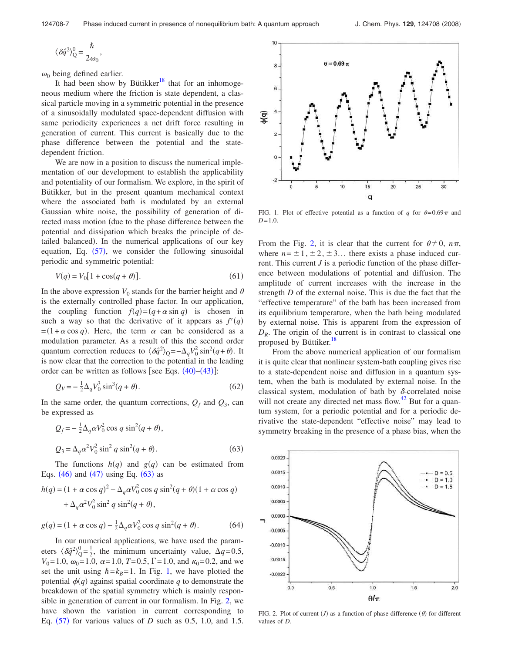$$
\langle \delta \hat{q}^2 \rangle_{\mathbf{Q}}^0 = \frac{\hbar}{2 \omega_0},
$$

 $\omega_0$  being defined earlier.

It had been show by Bütikker<sup>18</sup> that for an inhomogeneous medium where the friction is state dependent, a classical particle moving in a symmetric potential in the presence of a sinusoidally modulated space-dependent diffusion with same periodicity experiences a net drift force resulting in generation of current. This current is basically due to the phase difference between the potential and the statedependent friction.

We are now in a position to discuss the numerical implementation of our development to establish the applicability and potentiality of our formalism. We explore, in the spirit of Bütikker, but in the present quantum mechanical context where the associated bath is modulated by an external Gaussian white noise, the possibility of generation of directed mass motion (due to the phase difference between the potential and dissipation which breaks the principle of detailed balanced). In the numerical applications of our key equation, Eq.  $(57)$ , we consider the following sinusoidal periodic and symmetric potential:

$$
V(q) = V_0[1 + \cos(q + \theta)].
$$
 (61)

In the above expression  $V_0$  stands for the barrier height and  $\theta$ is the externally controlled phase factor. In our application, the coupling function  $f(q) = (q + \alpha \sin q)$  is chosen in such a way so that the derivative of it appears as  $f'(q)$  $=(1+\alpha \cos q)$ . Here, the term  $\alpha$  can be considered as a modulation parameter. As a result of this the second order quantum correction reduces to  $\langle \delta \hat{q}^2 \rangle_Q = -\Delta_q V_0^2 \sin^2(q+\theta)$ . It is now clear that the correction to the potential in the leading order can be written as follows [see Eqs.  $(40)$ – $(43)$ ]:

$$
Q_V = -\frac{1}{2}\Delta_q V_0^3 \sin^3(q+\theta). \tag{62}
$$

In the same order, the quantum corrections,  $Q_f$  and  $Q_3$ , can be expressed as

$$
Q_f = -\frac{1}{2}\Delta_q \alpha V_0^2 \cos q \sin^2(q+\theta),
$$
  

$$
Q_3 = \Delta_q \alpha^2 V_0^2 \sin^2 q \sin^2(q+\theta).
$$
 (63)

The functions  $h(q)$  and  $g(q)$  can be estimated from Eqs.  $(46)$  and  $(47)$  using Eq.  $(63)$  as

$$
h(q) = (1 + \alpha \cos q)^2 - \Delta_q \alpha V_0^2 \cos q \sin^2(q + \theta)(1 + \alpha \cos q)
$$
  
+ 
$$
\Delta_q \alpha^2 V_0^2 \sin^2 q \sin^2(q + \theta),
$$

$$
g(q) = (1 + \alpha \cos q) - \frac{1}{2}\Delta_q \alpha V_0^2 \cos q \sin^2(q + \theta). \tag{64}
$$

In our numerical applications, we have used the parameters  $\langle \delta \hat{q}^2 \rangle_{Q}^{0} = \frac{1}{2}$ , the minimum uncertainty value,  $\Delta q = 0.5$ ,  $V_0 = 1.0$ ,  $\omega_0 = 1.0$ ,  $\alpha = 1.0$ ,  $T = 0.5$ ,  $\Gamma = 1.0$ , and  $\kappa_0 = 0.2$ , and we set the unit using  $\hbar = k_B = 1$ . In Fig. 1, we have plotted the potential  $\phi(q)$  against spatial coordinate q to demonstrate the breakdown of the spatial symmetry which is mainly responsible in generation of current in our formalism. In Fig. 2, we have shown the variation in current corresponding to Eq.  $(57)$  for various values of *D* such as 0.5, 1.0, and 1.5.



FIG. 1. Plot of effective potential as a function of *q* for  $\theta = 0.69\pi$  and  $D=1.0$ 

From the Fig. 2, it is clear that the current for  $\theta \neq 0$ ,  $n\pi$ , where  $n = \pm 1, \pm 2, \pm 3...$  there exists a phase induced current. This current *J* is a periodic function of the phase difference between modulations of potential and diffusion. The amplitude of current increases with the increase in the strength *D* of the external noise. This is due the fact that the "effective temperature" of the bath has been increased from its equilibrium temperature, when the bath being modulated by external noise. This is apparent from the expression of  $D_R$ . The origin of the current is in contrast to classical one proposed by Büttiker.<sup>18</sup>

From the above numerical application of our formalism it is quite clear that nonlinear system-bath coupling gives rise to a state-dependent noise and diffusion in a quantum system, when the bath is modulated by external noise. In the classical system, modulation of bath by  $\delta$ -correlated noise will not create any directed net mass flow.<sup>42</sup> But for a quantum system, for a periodic potential and for a periodic derivative the state-dependent "effective noise" may lead to symmetry breaking in the presence of a phase bias, when the



FIG. 2. Plot of current  $(J)$  as a function of phase difference  $(\theta)$  for different values of *D*.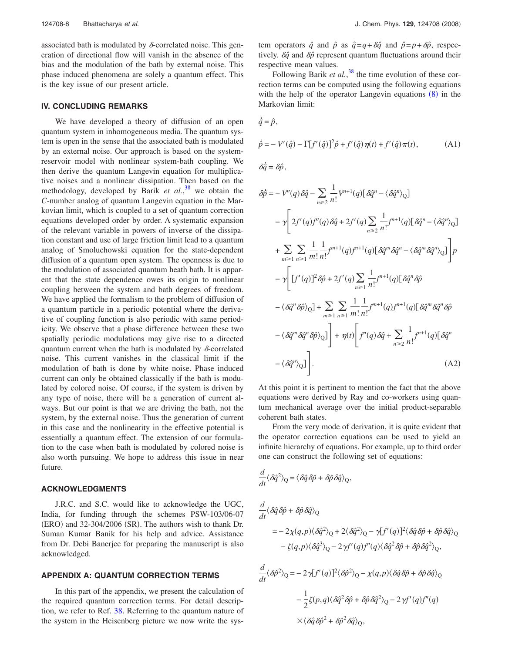associated bath is modulated by  $\delta$ -correlated noise. This generation of directional flow will vanish in the absence of the bias and the modulation of the bath by external noise. This phase induced phenomena are solely a quantum effect. This is the key issue of our present article.

#### **IV. CONCLUDING REMARKS**

We have developed a theory of diffusion of an open quantum system in inhomogeneous media. The quantum system is open in the sense that the associated bath is modulated by an external noise. Our approach is based on the systemreservoir model with nonlinear system-bath coupling. We then derive the quantum Langevin equation for multiplicative noises and a nonlinear dissipation. Then based on the methodology, developed by Barik *et al.*, <sup>38</sup> we obtain the *C*-number analog of quantum Langevin equation in the Markovian limit, which is coupled to a set of quantum correction equations developed order by order. A systematic expansion of the relevant variable in powers of inverse of the dissipation constant and use of large friction limit lead to a quantum analog of Smoluchowski equation for the state-dependent diffusion of a quantum open system. The openness is due to the modulation of associated quantum heath bath. It is apparent that the state dependence owes its origin to nonlinear coupling between the system and bath degrees of freedom. We have applied the formalism to the problem of diffusion of a quantum particle in a periodic potential where the derivative of coupling function is also periodic with same periodicity. We observe that a phase difference between these two spatially periodic modulations may give rise to a directed quantum current when the bath is modulated by  $\delta$ -correlated noise. This current vanishes in the classical limit if the modulation of bath is done by white noise. Phase induced current can only be obtained classically if the bath is modulated by colored noise. Of course, if the system is driven by any type of noise, there will be a generation of current always. But our point is that we are driving the bath, not the system, by the external noise. Thus the generation of current in this case and the nonlinearity in the effective potential is essentially a quantum effect. The extension of our formulation to the case when bath is modulated by colored noise is also worth pursuing. We hope to address this issue in near future.

#### **ACKNOWLEDGMENTS**

J.R.C. and S.C. would like to acknowledge the UGC, India, for funding through the schemes PSW-103/06-07 (ERO) and 32-304/2006 (SR). The authors wish to thank Dr. Suman Kumar Banik for his help and advice. Assistance from Dr. Debi Banerjee for preparing the manuscript is also acknowledged.

# **APPENDIX A: QUANTUM CORRECTION TERMS**

In this part of the appendix, we present the calculation of the required quantum correction terms. For detail description, we refer to Ref. 38. Referring to the quantum nature of the system in the Heisenberg picture we now write the system operators  $\hat{q}$  and  $\hat{p}$  as  $\hat{q} = q + \delta \hat{q}$  and  $\hat{p} = p + \delta \hat{p}$ , respectively.  $\delta \hat{q}$  and  $\delta \hat{p}$  represent quantum fluctuations around their respective mean values.

Following Barik *et al.*,<sup>38</sup> the time evolution of these correction terms can be computed using the following equations with the help of the operator Langevin equations  $(8)$  in the Markovian limit:

$$
\dot{\hat{q}} = \hat{p},
$$
\n
$$
\dot{\hat{p}} = -V'(\hat{q}) - \Gamma[f'(\hat{q})]^2 \hat{p} + f'(\hat{q}) \eta(t) + f'(\hat{q}) \pi(t),
$$
\n(A1)\n
$$
\delta \dot{\hat{q}} = \delta \hat{p},
$$

$$
\delta \hat{p} = -V''(q) \delta \hat{q} - \sum_{n\geq 2} \frac{1}{n!} V^{n+1}(q) [\delta \hat{q}^n - \langle \delta \hat{q}^n \rangle_Q]
$$
  
\n
$$
- \gamma \Bigg[ 2f'(q) f''(q) \delta \hat{q} + 2f'(q) \sum_{n\geq 2} \frac{1}{n!} f^{n+1}(q) [\delta \hat{q}^n - \langle \delta \hat{q}^n \rangle_Q]
$$
  
\n
$$
+ \sum_{m\geq 1} \sum_{n\geq 1} \frac{1}{m!} \frac{1}{n!} f^{m+1}(q) f^{n+1}(q) [\delta \hat{q}^m \delta \hat{q}^n - \langle \delta \hat{q}^m \delta \hat{q}^n \rangle_Q] \Bigg] p
$$
  
\n
$$
- \gamma \Bigg[ [f'(q)]^2 \delta \hat{p} + 2f'(q) \sum_{n\geq 1} \frac{1}{n!} f^{n+1}(q) [\delta \hat{q}^n \delta \hat{p}
$$
  
\n
$$
- \langle \delta \hat{q}^n \delta \hat{p} \rangle_Q \Big] + \sum_{m\geq 1} \sum_{n\geq 1} \frac{1}{m!} \frac{1}{n!} f^{m+1}(q) f^{n+1}(q) [\delta \hat{q}^m \delta \hat{q}^n \delta \hat{p}
$$
  
\n
$$
- \langle \delta \hat{q}^m \delta \hat{q}^n \delta \hat{p} \rangle_Q \Bigg] + \eta(t) \Bigg[ f''(q) \delta \hat{q} + \sum_{n\geq 2} \frac{1}{n!} f^{n+1}(q) [\delta \hat{q}^n - \langle \delta \hat{q}^n \rangle_Q] \Bigg].
$$
  
\n(A2)

At this point it is pertinent to mention the fact that the above equations were derived by Ray and co-workers using quantum mechanical average over the initial product-separable coherent bath states.

From the very mode of derivation, it is quite evident that the operator correction equations can be used to yield an infinite hierarchy of equations. For example, up to third order one can construct the following set of equations:

$$
\frac{d}{dt}\langle \delta \hat{q}^2 \rangle_Q = \langle \delta \hat{q} \delta \hat{p} + \delta \hat{p} \delta \hat{q} \rangle_Q,
$$
\n
$$
\frac{d}{dt}\langle \delta \hat{q} \delta \hat{p} + \delta \hat{p} \delta \hat{q} \rangle_Q
$$
\n
$$
= -2\chi(q, p)\langle \delta \hat{q}^2 \rangle_Q + 2\langle \delta \hat{q}^2 \rangle_Q - \eta f'(q) \rangle^2 \langle \delta \hat{q} \delta \hat{p} + \delta \hat{p} \delta \hat{q} \rangle_Q
$$
\n
$$
- \zeta(q, p)\langle \delta \hat{q}^3 \rangle_Q - 2\eta f'(q) f''(q) \langle \delta \hat{q}^2 \delta \hat{p} + \delta \hat{p} \delta \hat{q}^2 \rangle_Q,
$$
\n
$$
\frac{d}{dt}\langle \delta \hat{p}^2 \rangle_Q = -2\eta f'(q) \rangle^2 \langle \delta \hat{p}^2 \rangle_Q - \chi(q, p)\langle \delta \hat{q} \delta \hat{p} + \delta \hat{p} \delta \hat{q} \rangle_Q
$$
\n
$$
- \frac{1}{2}\zeta(p, q)\langle \delta \hat{q}^2 \delta \hat{p} + \delta \hat{p} \delta \hat{q}^2 \rangle_Q - 2\eta f'(q) f''(q)
$$
\n
$$
\times \langle \delta \hat{q} \delta \hat{p}^2 + \delta \hat{p}^2 \delta \hat{q} \rangle_Q,
$$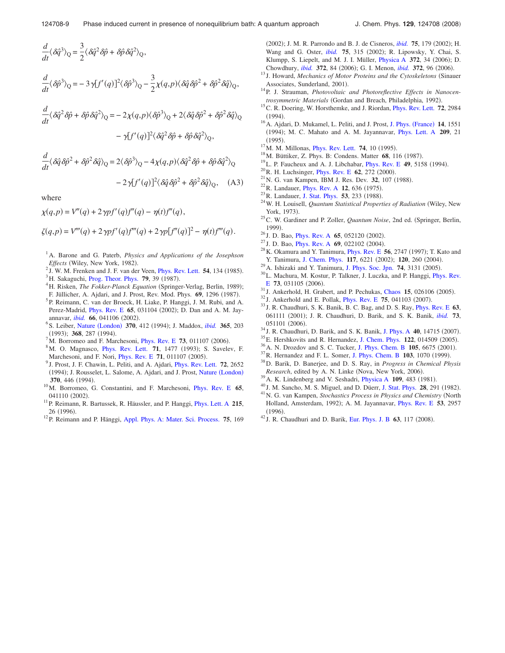$$
\frac{d}{dt}\langle \delta \hat{q}^3 \rangle_{Q} = \frac{3}{2} \langle \delta \hat{q}^2 \delta \hat{p} + \delta \hat{p} \delta \hat{q}^2 \rangle_{Q},
$$
  

$$
\frac{d}{dt}\langle \delta \hat{p}^3 \rangle_{Q} = -3 \gamma [f'(q)]^2 \langle \delta \hat{p}^3 \rangle_{Q} - \frac{3}{2} \chi(q, p) \langle \delta \hat{q} \delta \hat{p}^2 + \delta \hat{p}^2 \delta \hat{q} \rangle_{Q},
$$

$$
\frac{d}{dt}\langle \delta \hat{q}^2 \delta \hat{p} + \delta \hat{p} \delta \hat{q}^2 \rangle_{Q} = -2\chi(q, p)\langle \delta \hat{p}^3 \rangle_{Q} + 2\langle \delta \hat{q} \delta \hat{p}^2 + \delta \hat{p}^2 \delta \hat{q} \rangle_{Q}
$$

$$
- \gamma [f'(q)]^2 \langle \delta \hat{q}^2 \delta \hat{p} + \delta \hat{p} \delta \hat{q}^2 \rangle_{Q},
$$

$$
\frac{d}{dt}\langle \delta \hat{q} \delta \hat{p}^2 + \delta \hat{p}^2 \delta \hat{q} \rangle_Q = 2 \langle \delta \hat{p}^3 \rangle_Q - 4 \chi(q, p) \langle \delta \hat{q}^2 \delta \hat{p} + \delta \hat{p} \delta \hat{q}^2 \rangle_Q
$$

$$
- 2 \gamma [f'(q)]^2 \langle \delta \hat{q} \delta \hat{p}^2 + \delta \hat{p}^2 \delta \hat{q} \rangle_Q, \quad (A3)
$$

where

$$
\chi(q,p) = V''(q) + 2\gamma p f'(q) f''(q) - \eta(t) f''(q),
$$
  

$$
\zeta(q,p) = V'''(q) + 2\gamma p f'(q) f'''(q) + 2\gamma p [f''(q)]^2 - \eta(t) f'''(q).
$$

- <sup>1</sup>A. Barone and G. Paterb, *Physics and Applications of the Josephson* Effects (Wiley, New York, 1982).
- $2^2$  J. W. M. Frenken and J. F. van der Veen, *Phys. Rev. Lett.* **54**, 134 (1985). <sup>3</sup>H. Sakaguchi, Prog. Theor. Phys. **79**, 39 (1987).
- <sup>4</sup>H. Risken, *The Fokker-Planck Equation* (Springer-Verlag, Berlin, 1989);
- F. Jüllicher, A. Ajdari, and J. Prost, Rev. Mod. Phys. **69**, 1296 (1987). 5 P. Reimann, C. van der Broeck, H. Liake, P. Hanggi, J. M. Rubi, and A.
- Perez-Madrid, *Phys. Rev. E 65, 031104 (2002)*; D. Dan and A. M. Jayannavar, *ibid.* **66**, 041106 (2002).
- <sup>6</sup> S. Leiber, Nature (London) **370**, 412 (1994); J. Maddox, *ibid.* **365**, 203 (1993); **368**, 287 (1994).
- <sup>7</sup>M. Borromeo and F. Marchesoni, *Phys. Rev. E* **73**, 011107 (2006).
- <sup>8</sup>M. O. Magnasco, *Phys. Rev. Lett.* **71**, 1477 (1993); S. Savelev, F. Marchesoni, and F. Nori, *Phys. Rev. E* 71, 011107 (2005).
- 9 J. Prost, J. F. Chawin, L. Peliti, and A. Ajdari, Phys. Rev. Lett. **72**, 2652 (1994); J. Rousselet, L. Salome, A. Ajdari, and J. Prost, Nature (London) 370, 446 (1994).
- <sup>10</sup>M. Borromeo, G. Constantini, and F. Marchesoni, Phys. Rev. E **65**, 041110 (2002).
- <sup>11</sup>P. Reimann, R. Bartussek, R. Häussler, and P. Hanggi, Phys. Lett. A **215**, 26 (1996).
- <sup>12</sup>P. Reimann and P. Hänggi, Appl. Phys. A: Mater. Sci. Process. **75**, 169

(2002); J. M. R. Parrondo and B. J. de Cisneros, *ibid.* **75**, 179 (2002); H. Wang and G. Oster, *ibid.* **75**, 315 (2002); R. Lipowsky, Y. Chai, S. Klumpp, S. Liepelt, and M. J. I. Müller, *Physica A* 372, 34 (2006); D. Chowdhury, *ibid.* **372**, 84 (2006); G. I. Menon, *ibid.* **372**, 96 (2006).

- <sup>13</sup> J. Howard, *Mechanics of Motor Proteins and the Cytoskeletons* (Sinauer Associates, Sunderland, 2001).
- <sup>14</sup>P. J. Strauman, *Photovoltaic and Photoreflective Effects in Nanocen*trosymmetric Materials (Gordan and Breach, Philadelphia, 1992).
- <sup>15</sup>C. R. Doering, W. Horsthemke, and J. Riordan, Phys. Rev. Lett. **72**, 2984  $(1994).$
- <sup>16</sup> A. Ajdari, D. Mukamel, L. Peliti, and J. Prost, J. Phys. (France) 14, 1551 (1994); M. C. Mahato and A. M. Jayannavar, *Phys. Lett. A* 209, 21  $(1995).$
- <sup>17</sup> M. M. Millonas, *Phys. Rev. Lett.* **74**, 10 (1995).
- <sup>18</sup> M. Büttiker, Z. Phys. B: Condens. Matter 68, 116 (1987).
- <sup>19</sup>L. P. Faucheux and A. J. Libchabar, *Phys. Rev. E* 49, 5158 (1994).
- $^{20}$  R. H. Luchsinger, *Phys. Rev. E* 62, 272 (2000).
- <sup>21</sup> N. G. van Kampen, IBM J. Res. Dev. **32**, 107 (1988).
- $^{22}$ R. Landauer, *Phys. Rev. A* 12, 636 (1975).
- <sup>23</sup> R. Landauer, J. Stat. Phys. **53**, 233 (1988).
- <sup>24</sup>W. H. Louisell, *Quantum Statistical Properties of Radiation* Wiley, New York, 1973).
- <sup>25</sup>C. W. Gardiner and P. Zoller, *Quantum Noise*, 2nd ed. (Springer, Berlin, 1999).
- <sup>26</sup> J. D. Bao, *Phys. Rev. A* **65**, 052120 (2002).
- <sup>27</sup> J. D. Bao, *Phys. Rev. A* **69**, 022102 (2004).
- $^{28}$ K. Okamura and Y. Tanimura, *Phys. Rev. E* 56, 2747 (1997); T. Kato and Y. Tanimura, J. Chem. Phys. 117, 6221 (2002); 120, 260 (2004).
- <sup>29</sup> A. Ishizaki and Y. Tanimura, J. Phys. Soc. Jpn. **74**, 3131 (2005).
- <sup>30</sup>L. Machura, M. Kostur, P. Talkner, J. Luczka, and P. Hanggi, Phys. Rev. E 73, 031105 (2006).
- <sup>31</sup> J. Ankerhold, H. Grabert, and P. Pechukas, Chaos 15, 026106 (2005).
- $32$  J. Ankerhold and E. Pollak, *Phys. Rev. E* 75, 041103 (2007).
- <sup>33</sup> J. R. Chaudhuri, S. K. Banik, B. C. Bag, and D. S. Ray, Phys. Rev. E **63**, 061111 (2001); J. R. Chaudhuri, D. Barik, and S. K. Banik, *ibid.* 73, 051101 (2006).
- <sup>34</sup> J. R. Chaudhuri, D. Barik, and S. K. Banik, J. Phys. A **40**, 14715 (2007).
- $^{35}$ E. Hershkovits and R. Hernandez, J. Chem. Phys. 122, 014509 (2005).
- <sup>36</sup> A. N. Drozdov and S. C. Tucker, J. Phys. Chem. B **105**, 6675 (2001).
- $^{37}$  R. Hernandez and F. L. Somer, J. Phys. Chem. B 103, 1070 (1999).
- <sup>38</sup>D. Barik, D. Banerjee, and D. S. Ray, in *Progress in Chemical Physis* Research, edited by A. N. Linke (Nova, New York, 2006).
- <sup>39</sup> A. K. Lindenberg and V. Seshadri, *Physica A* **109**, 483 (1981).
- <sup>40</sup> J. M. Sancho, M. S. Miguel, and D. Düerr, J. Stat. Phys. 28, 291 (1982). <sup>41</sup>N. G. van Kampen, *Stochastics Process in Physics and Chemistry* North Holland, Amsterdam, 1992); A. M. Jayannavar, *Phys. Rev. E* 53, 2957  $(1996).$
- $^{42}$  J. R. Chaudhuri and D. Barik, Eur. Phys. J. B 63, 117 (2008).